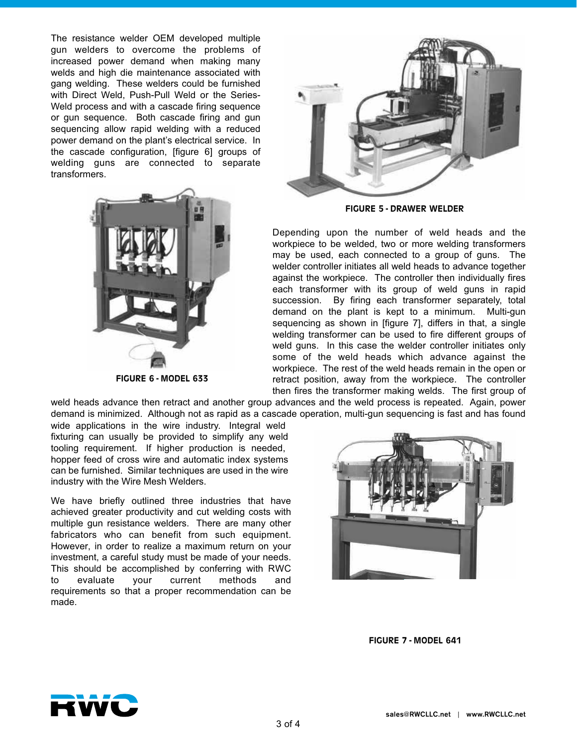The resistance welder OEM developed multiple gun welders to overcome the problems of increased power demand when making many welds and high die maintenance associated with gang welding. These welders could be furnished with Direct Weld, Push-Pull Weld or the Series-Weld process and with a cascade firing sequence or gun sequence. Both cascade firing and gun sequencing allow rapid welding with a reduced power demand on the plant's electrical service. In the cascade configuration, [figure 6] groups of welding guns are connected to separate transformers.



**FIGURE 5 - DRAWER WELDER**

Depending upon the number of weld heads and the workpiece to be welded, two or more welding transformers may be used, each connected to a group of guns. The welder controller initiates all weld heads to advance together against the workpiece. The controller then individually fires each transformer with its group of weld guns in rapid succession. By firing each transformer separately, total demand on the plant is kept to a minimum. Multi-gun sequencing as shown in [figure 7], differs in that, a single welding transformer can be used to fire different groups of weld guns. In this case the welder controller initiates only some of the weld heads which advance against the workpiece. The rest of the weld heads remain in the open or retract position, away from the workpiece. The controller then fires the transformer making welds. The first group of

weld heads advance then retract and another group advances and the weld process is repeated. Again, power demand is minimized. Although not as rapid as a cascade operation, multi-gun sequencing is fast and has found

wide applications in the wire industry. Integral weld fixturing can usually be provided to simplify any weld tooling requirement. If higher production is needed, hopper feed of cross wire and automatic index systems can be furnished. Similar techniques are used in the wire industry with the Wire Mesh Welders.

**FIGURE 6 - MODEL 633**

We have briefly outlined three industries that have achieved greater productivity and cut welding costs with multiple gun resistance welders. There are many other fabricators who can benefit from such equipment. However, in order to realize a maximum return on your investment, a careful study must be made of your needs. This should be accomplished by conferring with RWC to evaluate your current methods and requirements so that a proper recommendation can be made.

**FIGURE 7 - MODEL 641**